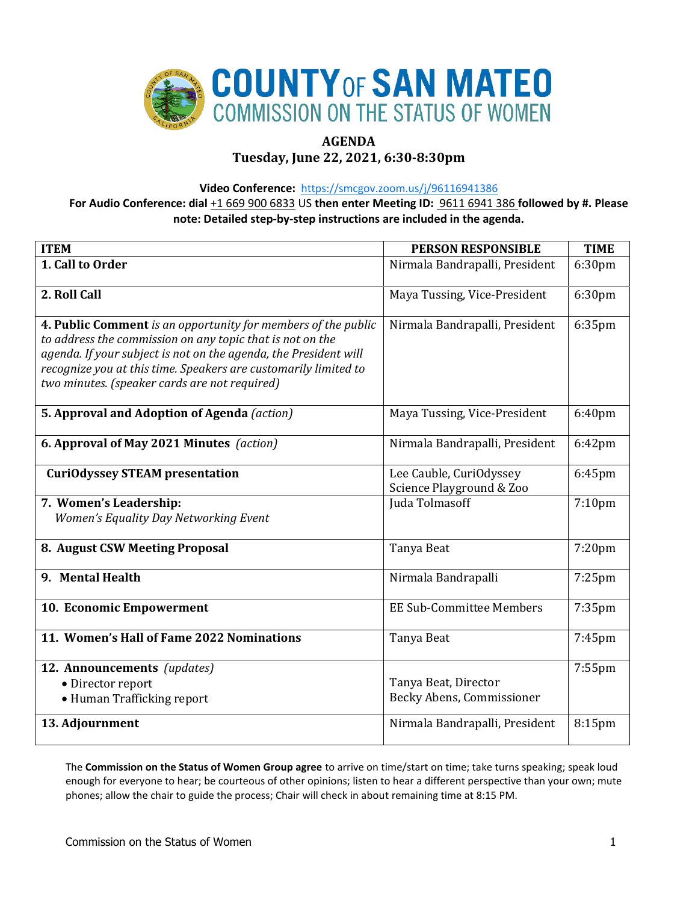

# **AGENDA**

# **Tuesday, June 22, 2021, 6:30-8:30pm**

**Video Conference:** <https://smcgov.zoom.us/j/96116941386>

**For Audio Conference: dial** +1 669 900 6833 US **then enter Meeting ID:** 9611 6941 386 **followed by #. Please note: Detailed step-by-step instructions are included in the agenda.**

| <b>ITEM</b>                                                                                                                                                                                                                                                                                                        | <b>PERSON RESPONSIBLE</b>                           | <b>TIME</b>        |
|--------------------------------------------------------------------------------------------------------------------------------------------------------------------------------------------------------------------------------------------------------------------------------------------------------------------|-----------------------------------------------------|--------------------|
| 1. Call to Order                                                                                                                                                                                                                                                                                                   | Nirmala Bandrapalli, President                      | 6:30pm             |
| 2. Roll Call                                                                                                                                                                                                                                                                                                       | Maya Tussing, Vice-President                        | 6:30pm             |
| 4. Public Comment is an opportunity for members of the public<br>to address the commission on any topic that is not on the<br>agenda. If your subject is not on the agenda, the President will<br>recognize you at this time. Speakers are customarily limited to<br>two minutes. (speaker cards are not required) | Nirmala Bandrapalli, President                      | 6:35pm             |
| 5. Approval and Adoption of Agenda (action)                                                                                                                                                                                                                                                                        | Maya Tussing, Vice-President                        | 6:40pm             |
| 6. Approval of May 2021 Minutes (action)                                                                                                                                                                                                                                                                           | Nirmala Bandrapalli, President                      | 6:42pm             |
| <b>CuriOdyssey STEAM presentation</b>                                                                                                                                                                                                                                                                              | Lee Cauble, CuriOdyssey<br>Science Playground & Zoo | 6:45pm             |
| 7. Women's Leadership:<br>Women's Equality Day Networking Event                                                                                                                                                                                                                                                    | Juda Tolmasoff                                      | 7:10 <sub>pm</sub> |
| 8. August CSW Meeting Proposal                                                                                                                                                                                                                                                                                     | Tanya Beat                                          | 7:20pm             |
| 9. Mental Health                                                                                                                                                                                                                                                                                                   | Nirmala Bandrapalli                                 | 7:25pm             |
| 10. Economic Empowerment                                                                                                                                                                                                                                                                                           | <b>EE Sub-Committee Members</b>                     | 7:35pm             |
| 11. Women's Hall of Fame 2022 Nominations                                                                                                                                                                                                                                                                          | Tanya Beat                                          | 7:45pm             |
| 12. Announcements (updates)<br>• Director report<br>• Human Trafficking report                                                                                                                                                                                                                                     | Tanya Beat, Director<br>Becky Abens, Commissioner   | 7:55pm             |
| 13. Adjournment                                                                                                                                                                                                                                                                                                    | Nirmala Bandrapalli, President                      | 8:15pm             |

The **Commission on the Status of Women Group agree** to arrive on time/start on time; take turns speaking; speak loud enough for everyone to hear; be courteous of other opinions; listen to hear a different perspective than your own; mute phones; allow the chair to guide the process; Chair will check in about remaining time at 8:15 PM.